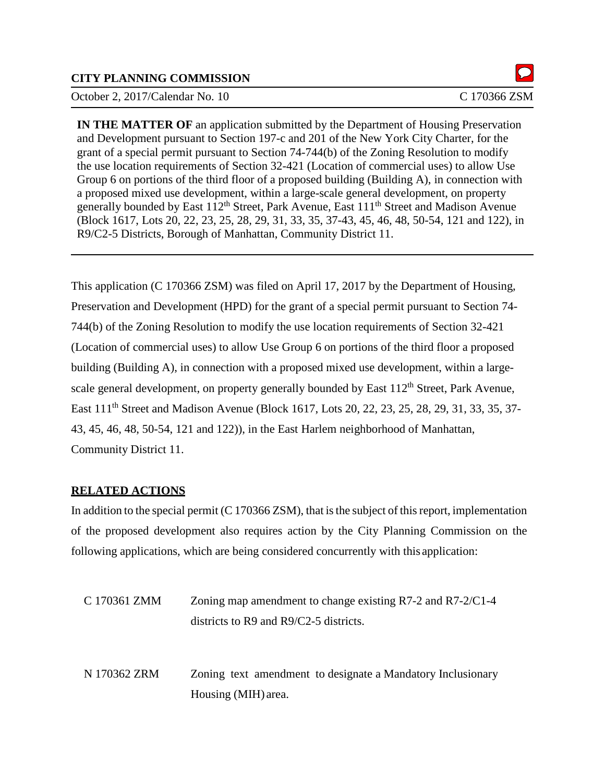## **CITY PLANNING COMMISSION**

October 2, 2017/Calendar No. 10 C 170366 ZSM

**IN THE MATTER OF** an application submitted by the Department of Housing Preservation and Development pursuant to Section 197-c and 201 of the New York City Charter, for the grant of a special permit pursuant to Section 74-744(b) of the Zoning Resolution to modify the use location requirements of Section 32-421 (Location of commercial uses) to allow Use Group 6 on portions of the third floor of a proposed building (Building A), in connection with a proposed mixed use development, within a large-scale general development, on property generally bounded by East 112<sup>th</sup> Street, Park Avenue, East 111<sup>th</sup> Street and Madison Avenue (Block 1617, Lots 20, 22, 23, 25, 28, 29, 31, 33, 35, 37-43, 45, 46, 48, 50-54, 121 and 122), in R9/C2-5 Districts, Borough of Manhattan, Community District 11.

This application (C 170366 ZSM) was filed on April 17, 2017 by the Department of Housing, Preservation and Development (HPD) for the grant of a special permit pursuant to Section 74- 744(b) of the Zoning Resolution to modify the use location requirements of Section 32-421 (Location of commercial uses) to allow Use Group 6 on portions of the third floor a proposed building (Building A), in connection with a proposed mixed use development, within a largescale general development, on property generally bounded by East 112<sup>th</sup> Street, Park Avenue, East 111<sup>th</sup> Street and Madison Avenue (Block 1617, Lots 20, 22, 23, 25, 28, 29, 31, 33, 35, 37-43, 45, 46, 48, 50-54, 121 and 122)), in the East Harlem neighborhood of Manhattan, Community District 11.

#### **RELATED ACTIONS**

In addition to the special permit  $(C 170366 ZSM)$ , that is the subject of this report, implementation of the proposed development also requires action by the City Planning Commission on the following applications, which are being considered concurrently with this application:

| C 170361 ZMM | Zoning map amendment to change existing $R7-2$ and $R7-2/C1-4$<br>districts to R9 and $R9/C2-5$ districts. |
|--------------|------------------------------------------------------------------------------------------------------------|
| N 170362 ZRM | Zoning text amendment to designate a Mandatory Inclusionary<br>Housing (MIH) area.                         |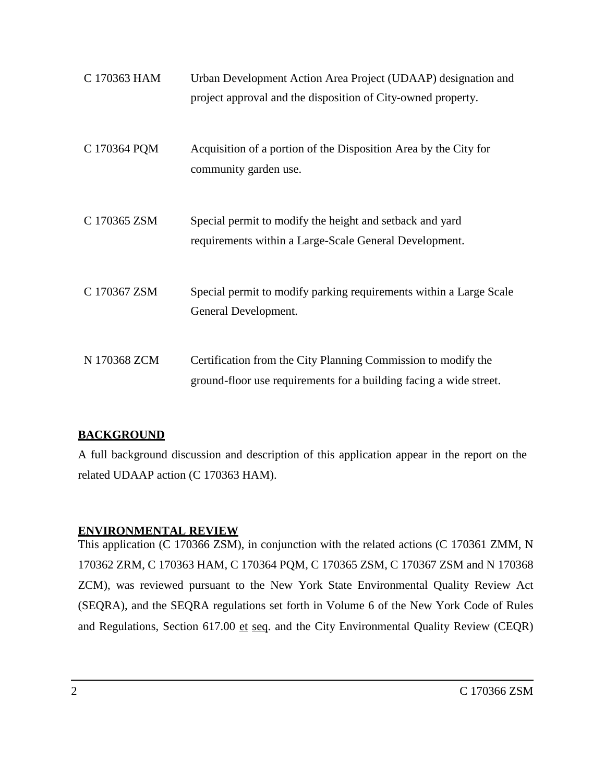| C 170363 HAM | Urban Development Action Area Project (UDAAP) designation and<br>project approval and the disposition of City-owned property.       |
|--------------|-------------------------------------------------------------------------------------------------------------------------------------|
| C 170364 PQM | Acquisition of a portion of the Disposition Area by the City for<br>community garden use.                                           |
| C 170365 ZSM | Special permit to modify the height and setback and yard<br>requirements within a Large-Scale General Development.                  |
| C 170367 ZSM | Special permit to modify parking requirements within a Large Scale<br>General Development.                                          |
| N 170368 ZCM | Certification from the City Planning Commission to modify the<br>ground-floor use requirements for a building facing a wide street. |

## **BACKGROUND**

A full background discussion and description of this application appear in the report on the related UDAAP action (C 170363 HAM).

## **ENVIRONMENTAL REVIEW**

This application (C 170366 ZSM), in conjunction with the related actions (C 170361 ZMM, N 170362 ZRM, C 170363 HAM, C 170364 PQM, C 170365 ZSM, C 170367 ZSM and N 170368 ZCM), was reviewed pursuant to the New York State Environmental Quality Review Act (SEQRA), and the SEQRA regulations set forth in Volume 6 of the New York Code of Rules and Regulations, Section 617.00 et seq. and the City Environmental Quality Review (CEQR)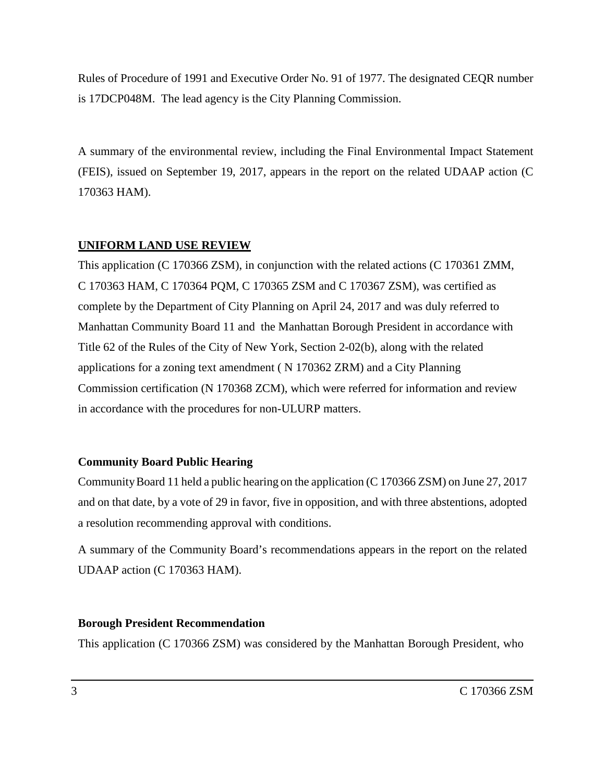Rules of Procedure of 1991 and Executive Order No. 91 of 1977. The designated CEQR number is 17DCP048M. The lead agency is the City Planning Commission.

A summary of the environmental review, including the Final Environmental Impact Statement (FEIS), issued on September 19, 2017, appears in the report on the related UDAAP action (C 170363 HAM).

## **UNIFORM LAND USE REVIEW**

This application (C 170366 ZSM), in conjunction with the related actions (C 170361 ZMM, C 170363 HAM, C 170364 PQM, C 170365 ZSM and C 170367 ZSM), was certified as complete by the Department of City Planning on April 24, 2017 and was duly referred to Manhattan Community Board 11 and the Manhattan Borough President in accordance with Title 62 of the Rules of the City of New York, Section 2-02(b), along with the related applications for a zoning text amendment ( N 170362 ZRM) and a City Planning Commission certification (N 170368 ZCM), which were referred for information and review in accordance with the procedures for non-ULURP matters.

#### **Community Board Public Hearing**

CommunityBoard 11 held a public hearing on the application (C 170366 ZSM) on June 27, 2017 and on that date, by a vote of 29 in favor, five in opposition, and with three abstentions, adopted a resolution recommending approval with conditions.

A summary of the Community Board's recommendations appears in the report on the related UDAAP action (C 170363 HAM).

#### **Borough President Recommendation**

This application (C 170366 ZSM) was considered by the Manhattan Borough President, who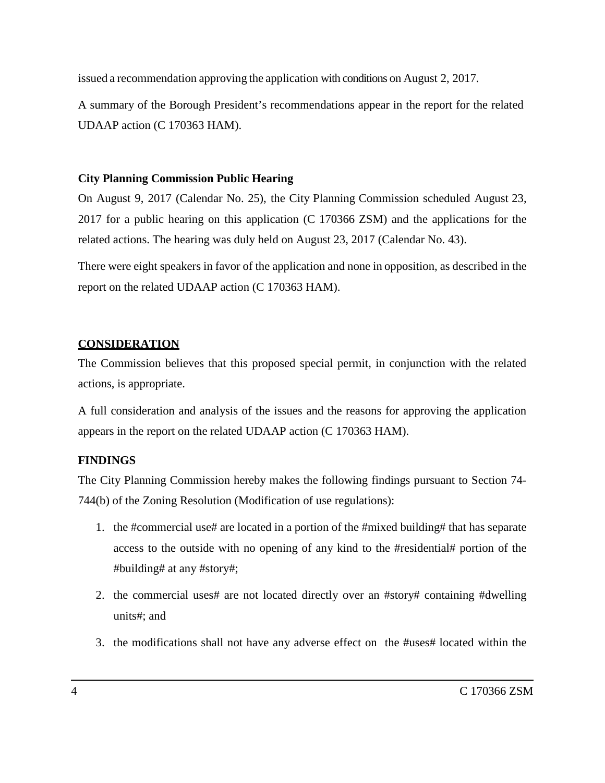issued a recommendation approving the application with conditions on August 2, 2017.

A summary of the Borough President's recommendations appear in the report for the related UDAAP action (C 170363 HAM).

# **City Planning Commission Public Hearing**

On August 9, 2017 (Calendar No. 25), the City Planning Commission scheduled August 23, 2017 for a public hearing on this application (C 170366 ZSM) and the applications for the related actions. The hearing was duly held on August 23, 2017 (Calendar No. 43).

There were eight speakers in favor of the application and none in opposition, as described in the report on the related UDAAP action (C 170363 HAM).

# **CONSIDERATION**

The Commission believes that this proposed special permit, in conjunction with the related actions, is appropriate.

A full consideration and analysis of the issues and the reasons for approving the application appears in the report on the related UDAAP action (C 170363 HAM).

# **FINDINGS**

The City Planning Commission hereby makes the following findings pursuant to Section 74- 744(b) of the Zoning Resolution (Modification of use regulations):

- 1. the #commercial use# are located in a portion of the #mixed building# that has separate access to the outside with no opening of any kind to the #residential# portion of the #building# at any #story#;
- 2. the commercial uses# are not located directly over an #story# containing #dwelling units#; and
- 3. the modifications shall not have any adverse effect on the #uses# located within the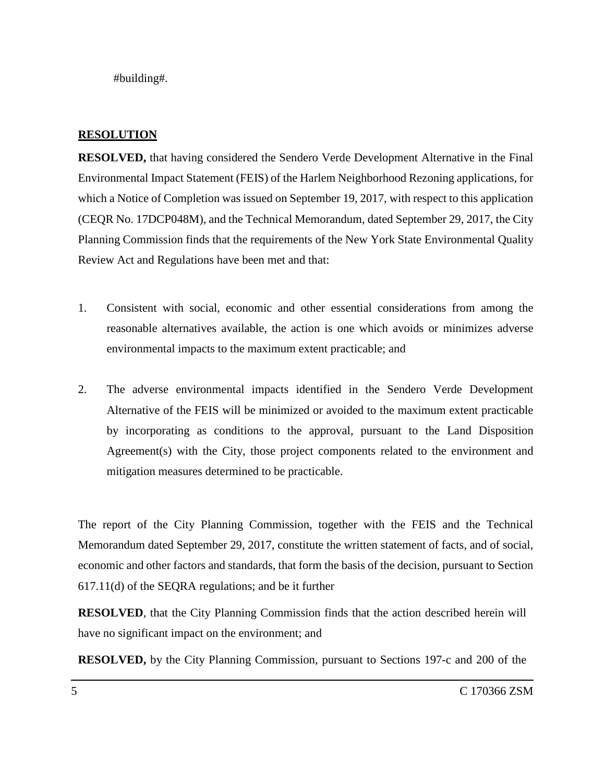#building#.

## **RESOLUTION**

**RESOLVED,** that having considered the Sendero Verde Development Alternative in the Final Environmental Impact Statement (FEIS) of the Harlem Neighborhood Rezoning applications, for which a Notice of Completion was issued on September 19, 2017, with respect to this application (CEQR No. 17DCP048M), and the Technical Memorandum, dated September 29, 2017, the City Planning Commission finds that the requirements of the New York State Environmental Quality Review Act and Regulations have been met and that:

- 1. Consistent with social, economic and other essential considerations from among the reasonable alternatives available, the action is one which avoids or minimizes adverse environmental impacts to the maximum extent practicable; and
- 2. The adverse environmental impacts identified in the Sendero Verde Development Alternative of the FEIS will be minimized or avoided to the maximum extent practicable by incorporating as conditions to the approval, pursuant to the Land Disposition Agreement(s) with the City, those project components related to the environment and mitigation measures determined to be practicable.

The report of the City Planning Commission, together with the FEIS and the Technical Memorandum dated September 29, 2017, constitute the written statement of facts, and of social, economic and other factors and standards, that form the basis of the decision, pursuant to Section 617.11(d) of the SEQRA regulations; and be it further

**RESOLVED**, that the City Planning Commission finds that the action described herein will have no significant impact on the environment; and

**RESOLVED,** by the City Planning Commission, pursuant to Sections 197-c and 200 of the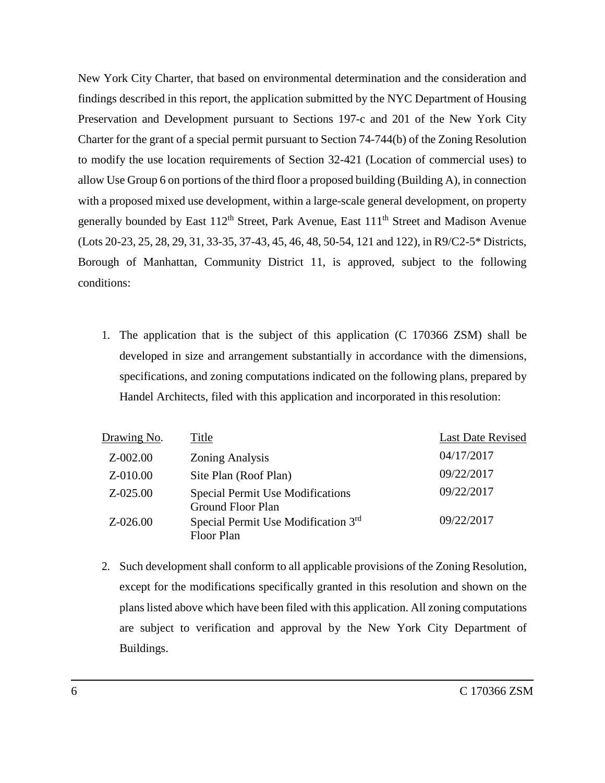New York City Charter, that based on environmental determination and the consideration and findings described in this report, the application submitted by the NYC Department of Housing Preservation and Development pursuant to Sections 197-c and 201 of the New York City Charter for the grant of a special permit pursuant to Section 74-744(b) of the Zoning Resolution to modify the use location requirements of Section 32-421 (Location of commercial uses) to allow Use Group 6 on portions of the third floor a proposed building (Building A), in connection with a proposed mixed use development, within a large-scale general development, on property generally bounded by East 112<sup>th</sup> Street, Park Avenue, East 111<sup>th</sup> Street and Madison Avenue (Lots 20-23, 25, 28, 29, 31, 33-35, 37-43, 45, 46, 48, 50-54, 121 and 122), in R9/C2-5\* Districts, Borough of Manhattan, Community District 11, is approved, subject to the following conditions:

1. The application that is the subject of this application (C 170366 ZSM) shall be developed in size and arrangement substantially in accordance with the dimensions, specifications, and zoning computations indicated on the following plans, prepared by Handel Architects, filed with this application and incorporated in this resolution:

| Drawing No.  | Title                                                               | <b>Last Date Revised</b> |
|--------------|---------------------------------------------------------------------|--------------------------|
| $Z - 002.00$ | <b>Zoning Analysis</b>                                              | 04/17/2017               |
| Z-010.00     | Site Plan (Roof Plan)                                               | 09/22/2017               |
| $Z - 025.00$ | <b>Special Permit Use Modifications</b><br><b>Ground Floor Plan</b> | 09/22/2017               |
| $Z - 026.00$ | Special Permit Use Modification 3rd<br><b>Floor Plan</b>            | 09/22/2017               |
|              |                                                                     |                          |

2. Such development shall conform to all applicable provisions of the Zoning Resolution, except for the modifications specifically granted in this resolution and shown on the plans listed above which have been filed with this application. All zoning computations are subject to verification and approval by the New York City Department of Buildings.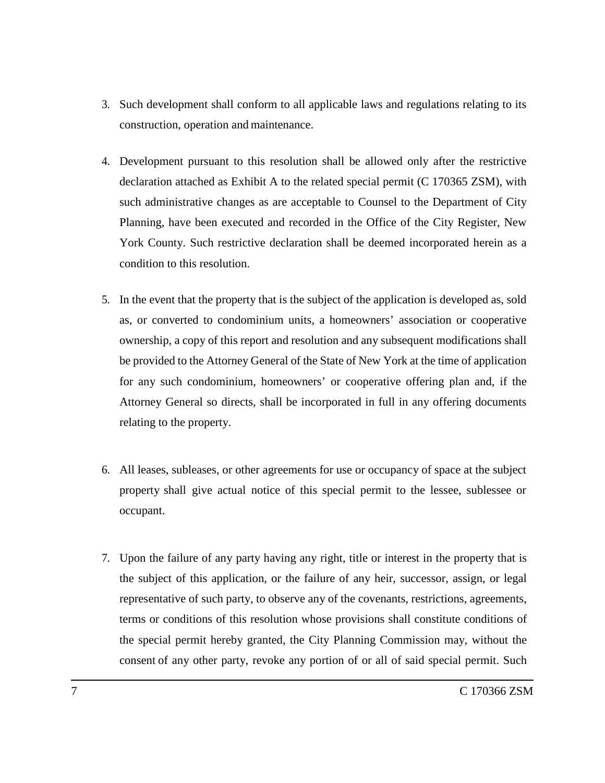- 3. Such development shall conform to all applicable laws and regulations relating to its construction, operation and maintenance.
- 4. Development pursuant to this resolution shall be allowed only after the restrictive declaration attached as Exhibit A to the related special permit (C 170365 ZSM), with such administrative changes as are acceptable to Counsel to the Department of City Planning, have been executed and recorded in the Office of the City Register, New York County. Such restrictive declaration shall be deemed incorporated herein as a condition to this resolution.
- 5. In the event that the property that is the subject of the application is developed as, sold as, or converted to condominium units, a homeowners' association or cooperative ownership, a copy of this report and resolution and any subsequent modifications shall be provided to the Attorney General of the State of New York at the time of application for any such condominium, homeowners' or cooperative offering plan and, if the Attorney General so directs, shall be incorporated in full in any offering documents relating to the property.
- 6. All leases, subleases, or other agreements for use or occupancy of space at the subject property shall give actual notice of this special permit to the lessee, sublessee or occupant.
- 7. Upon the failure of any party having any right, title or interest in the property that is the subject of this application, or the failure of any heir, successor, assign, or legal representative of such party, to observe any of the covenants, restrictions, agreements, terms or conditions of this resolution whose provisions shall constitute conditions of the special permit hereby granted, the City Planning Commission may, without the consent of any other party, revoke any portion of or all of said special permit. Such